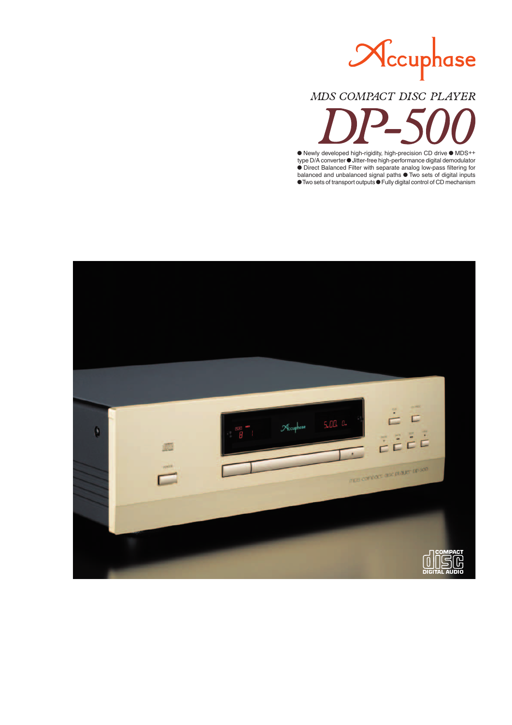

# MDS COMPACT DISC PLAYER

 $\bullet$  Newly developed high-rigidity, high-precision CD drive  $\bullet$  MDS++ type D/A converter  $\bullet$  Jitter-free high-performance digital demodulator **Direct Balanced Filter with separate analog low-pass filtering for** balanced and unbalanced signal paths  $\bullet$  Two sets of digital inputs **Two sets of transport outputs**  $\bullet$  **Fully digital control of CD mechanism** 

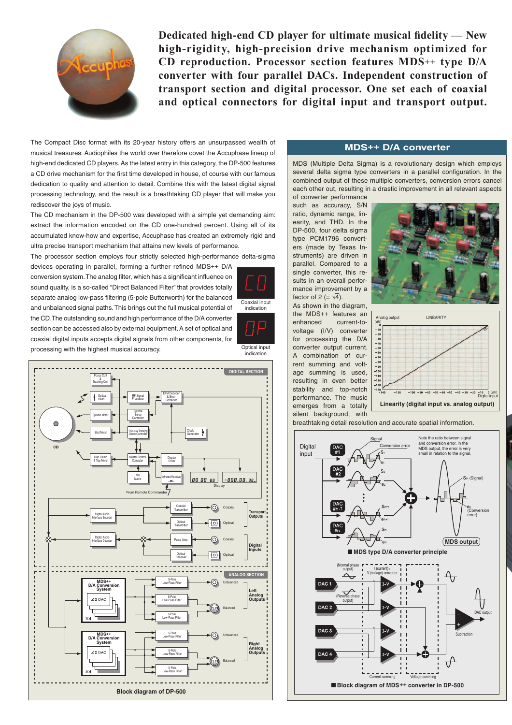

**Dedicated high-end CD player for ultimate musical fidelity — New high-rigidity, high-precision drive mechanism optimized for CD reproduction. Processor section features MDS++ type D/A converter with four parallel DACs. Independent construction of transport section and digital processor. One set each of coaxial and optical connectors for digital input and transport output.**

The Compact Disc format with its 20-year history offers an unsurpassed wealth of musical treasures. Audiophiles the world over therefore covet the Accuphase lineup of high-end dedicated CD players. As the latest entry in this category, the DP-500 features a CD drive mechanism for the first time developed in house, of course with our famous dedication to quality and attention to detail. Combine this with the latest digital signal processing technology, and the result is a breathtaking CD player that will make you rediscover the joys of music.

The CD mechanism in the DP-500 was developed with a simple yet demanding aim: extract the information encoded on the CD one-hundred percent. Using all of its accumulated know-how and expertise, Accuphase has created an extremely rigid and ultra precise transport mechanism that attains new levels of performance.

The processor section employs four strictly selected high-performance delta-sigma

devices operating in parallel, forming a further refined MDS++ D/A conversion system. The analog filter, which has a significant influence on sound quality, is a so-called "Direct Balanced Filter" that provides totally separate analog low-pass filtering (5-pole Butterworth) for the balanced and unbalanced signal paths. This brings out the full musical potential of the CD. The outstanding sound and high performance of the D/A converter section can be accessed also by external equipment. A set of optical and coaxial digital inputs accepts digital signals from other components, for processing with the highest musical accuracy.



# **MDS++ D/A converter**

MDS (Multiple Delta Sigma) is a revolutionary design which employs several delta sigma type converters in a parallel configuration. In the combined output of these multiple converters, conversion errors cancel each other out, resulting in a drastic improvement in all relevant aspects

of converter performance such as accuracy, S/N ratio, dynamic range, linearity, and THD. In the DP-500, four delta sigma type PCM1796 converters (made by Texas Instruments) are driven in parallel. Compared to a single converter, this results in an overall performance improvement by a factor of 2 (=  $\sqrt{4}$ ).

Coaxial input indication

**Optical input** 

As shown in the diagram, the MDS++ features an enhanced current-tovoltage (I/V) converter for processing the D/A converter output current. A combination of current summing and voltage summing is used, resulting in even better stability and top-notch performance. The music emerges from a totally silent background, with





breathtaking detail resolution and accurate spatial information.

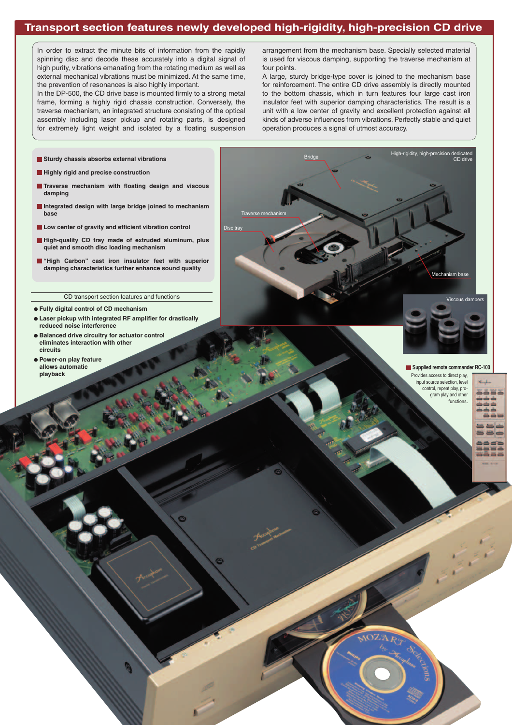# **Transport section features newly developed high-rigidity, high-precision CD drive**

Disc tray

Traverse mechanism

Bridge

In order to extract the minute bits of information from the rapidly spinning disc and decode these accurately into a digital signal of high purity, vibrations emanating from the rotating medium as well as external mechanical vibrations must be minimized. At the same time, the prevention of resonances is also highly important.

In the DP-500, the CD drive base is mounted firmly to a strong metal frame, forming a highly rigid chassis construction. Conversely, the traverse mechanism, an integrated structure consisting of the optical assembly including laser pickup and rotating parts, is designed for extremely light weight and isolated by a floating suspension arrangement from the mechanism base. Specially selected material is used for viscous damping, supporting the traverse mechanism at four points.

A large, sturdy bridge-type cover is joined to the mechanism base for reinforcement. The entire CD drive assembly is directly mounted to the bottom chassis, which in turn features four large cast iron insulator feet with superior damping characteristics. The result is a unit with a low center of gravity and excellent protection against all kinds of adverse influences from vibrations. Perfectly stable and quiet operation produces a signal of utmost accuracy.

High-rigidity, high-prec

dedicated<br>CD drive

- **Sturdy chassis absorbs external vibrations**
- **Highly rigid and precise construction**
- **Traverse mechanism with floating design and viscous damping**
- **Integrated design with large bridge joined to mechanism base**
- **Low center of gravity and efficient vibration control**
- **High-quality CD tray made of extruded aluminum, plus quiet and smooth disc loading mechanism**
- **"High Carbon" cast iron insulator feet with superior damping characteristics further enhance sound quality**

### CD transport section features and functions

- **Fully digital control of CD mechanism**
- $\bullet$  Laser pickup with integrated RF amplifier for drastically **reduced noise interference**
- **Balanced drive circuitry for actuator control eliminates interaction with other circuits**
- **Power-on play feature allows automatic playback**



Mechanism base

Viscous dampers

#### **Supplied remote commander RC-100**

Provides access to direct play, input source selection, level control, repeat play, program play and other functions.